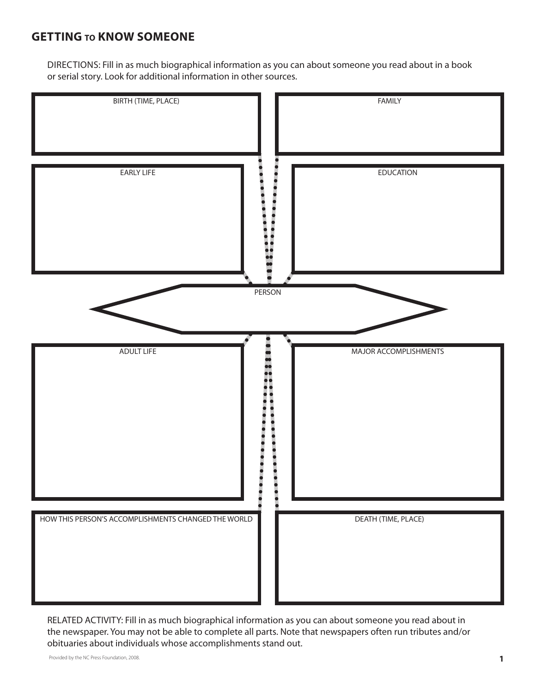### **Getting to Know SOMEONE**

DIRECTIONS: Fill in as much biographical information as you can about someone you read about in a book or serial story. Look for additional information in other sources.



RELATED ACTIVITY: Fill in as much biographical information as you can about someone you read about in the newspaper. You may not be able to complete all parts. Note that newspapers often run tributes and/or obituaries about individuals whose accomplishments stand out.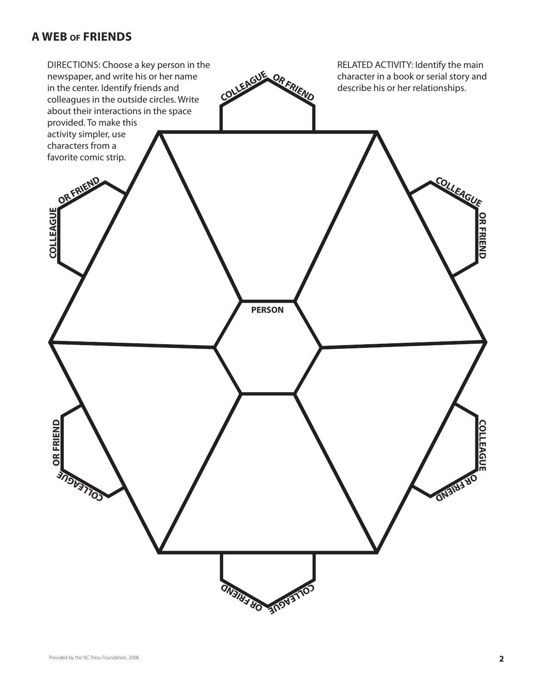#### **A Web of Friends**

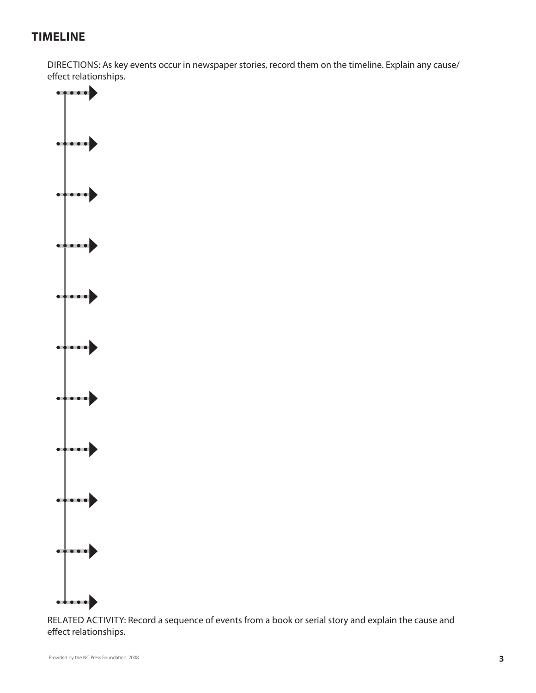# **Timeline**

DIRECTIONS: As key events occur in newspaper stories, record them on the timeline. Explain any cause/ effect relationships.



RELATED ACTIVITY: Record a sequence of events from a book or serial story and explain the cause and effect relationships.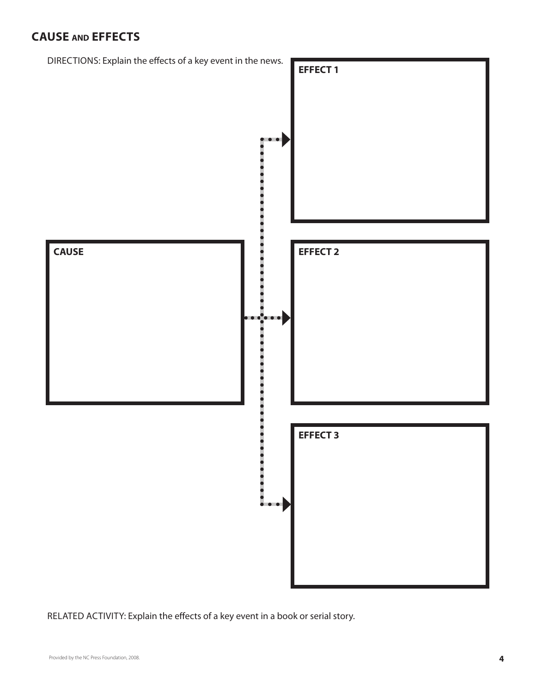# **Cause and EffectS**



RELATED ACTIVITY: Explain the effects of a key event in a book or serial story.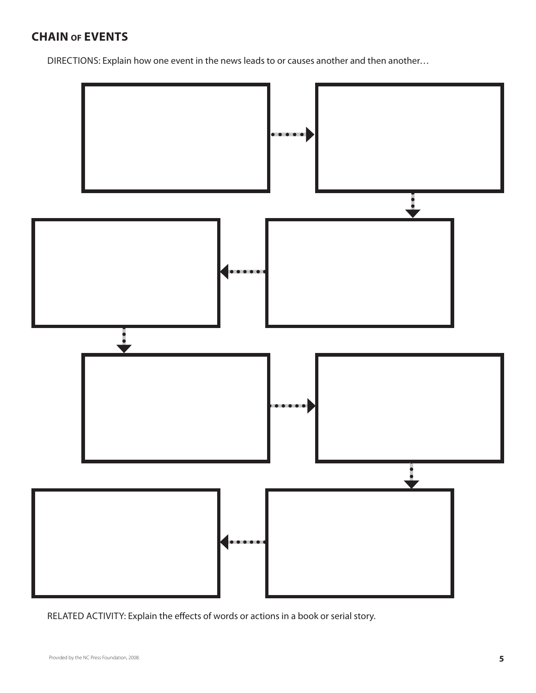# **Chain of Events**

DIRECTIONS: Explain how one event in the news leads to or causes another and then another...



RELATED ACTIVITY: Explain the effects of words or actions in a book or serial story.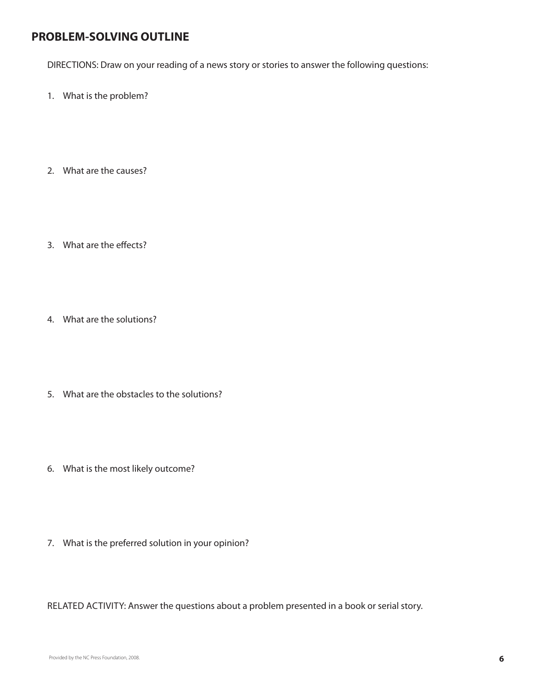### **PROBLEM-SOLVING OUTLINE**

DIRECTIONS: Draw on your reading of a news story or stories to answer the following questions:

- What is the problem? 1.
- What are the causes? 2.
- What are the effects? 3.
- What are the solutions? 4.
- What are the obstacles to the solutions? 5.
- What is the most likely outcome? 6.
- What is the preferred solution in your opinion? 7.

RELATED ACTIVITY: Answer the questions about a problem presented in a book or serial story.